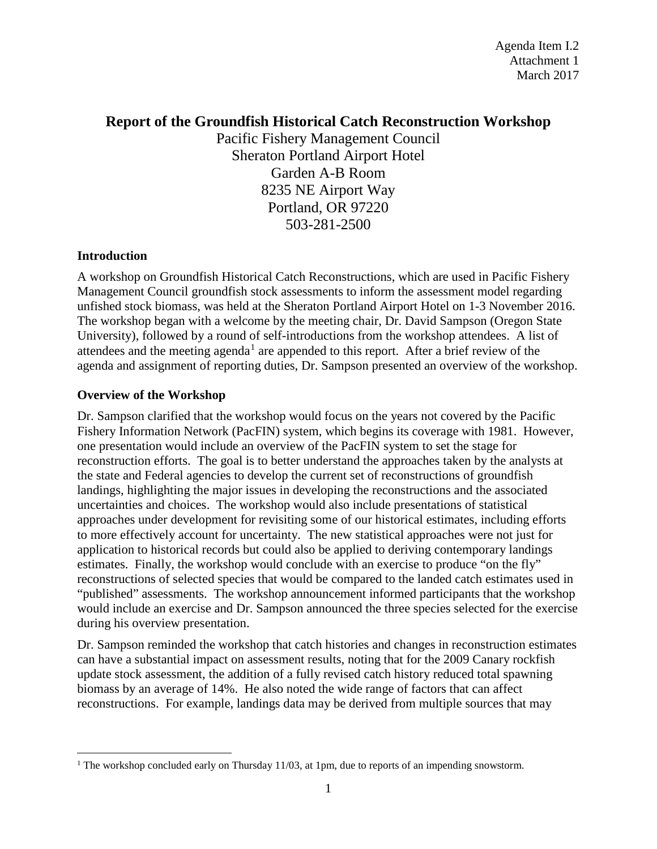# **Report of the Groundfish Historical Catch Reconstruction Workshop**

Pacific Fishery Management Council Sheraton Portland Airport Hotel Garden A-B Room 8235 NE Airport Way Portland, OR 97220 503-281-2500

# **Introduction**

A workshop on Groundfish Historical Catch Reconstructions, which are used in Pacific Fishery Management Council groundfish stock assessments to inform the assessment model regarding unfished stock biomass, was held at the Sheraton Portland Airport Hotel on 1-3 November 2016. The workshop began with a welcome by the meeting chair, Dr. David Sampson (Oregon State University), followed by a round of self-introductions from the workshop attendees. A list of attendees and the meeting agenda<sup>[1](#page-0-0)</sup> are appended to this report. After a brief review of the agenda and assignment of reporting duties, Dr. Sampson presented an overview of the workshop.

# **Overview of the Workshop**

Dr. Sampson clarified that the workshop would focus on the years not covered by the Pacific Fishery Information Network (PacFIN) system, which begins its coverage with 1981. However, one presentation would include an overview of the PacFIN system to set the stage for reconstruction efforts. The goal is to better understand the approaches taken by the analysts at the state and Federal agencies to develop the current set of reconstructions of groundfish landings, highlighting the major issues in developing the reconstructions and the associated uncertainties and choices. The workshop would also include presentations of statistical approaches under development for revisiting some of our historical estimates, including efforts to more effectively account for uncertainty. The new statistical approaches were not just for application to historical records but could also be applied to deriving contemporary landings estimates. Finally, the workshop would conclude with an exercise to produce "on the fly" reconstructions of selected species that would be compared to the landed catch estimates used in "published" assessments. The workshop announcement informed participants that the workshop would include an exercise and Dr. Sampson announced the three species selected for the exercise during his overview presentation.

Dr. Sampson reminded the workshop that catch histories and changes in reconstruction estimates can have a substantial impact on assessment results, noting that for the 2009 Canary rockfish update stock assessment, the addition of a fully revised catch history reduced total spawning biomass by an average of 14%. He also noted the wide range of factors that can affect reconstructions. For example, landings data may be derived from multiple sources that may

<span id="page-0-0"></span><sup>&</sup>lt;sup>1</sup> The workshop concluded early on Thursday 11/03, at 1pm, due to reports of an impending snowstorm.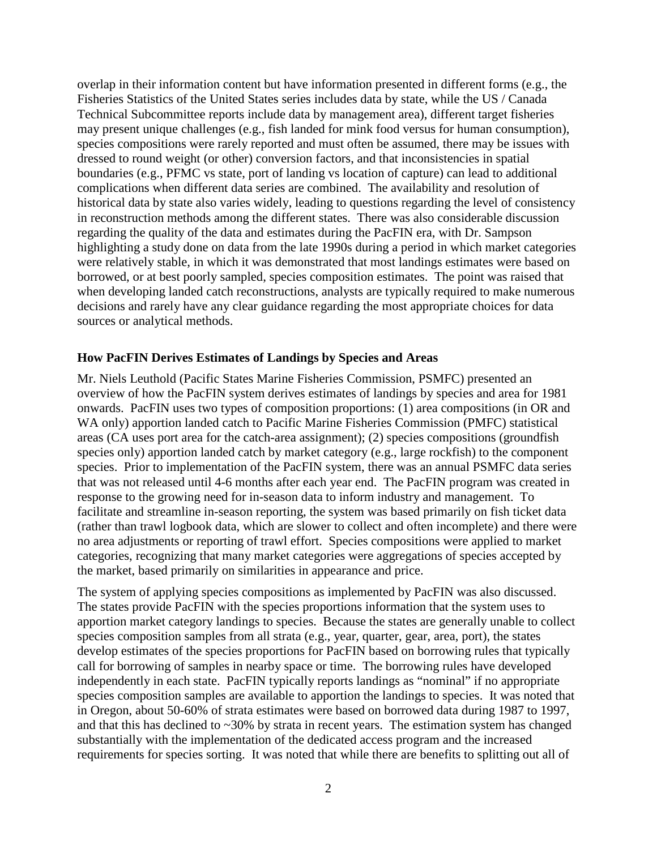overlap in their information content but have information presented in different forms (e.g., the Fisheries Statistics of the United States series includes data by state, while the US / Canada Technical Subcommittee reports include data by management area), different target fisheries may present unique challenges (e.g., fish landed for mink food versus for human consumption), species compositions were rarely reported and must often be assumed, there may be issues with dressed to round weight (or other) conversion factors, and that inconsistencies in spatial boundaries (e.g., PFMC vs state, port of landing vs location of capture) can lead to additional complications when different data series are combined. The availability and resolution of historical data by state also varies widely, leading to questions regarding the level of consistency in reconstruction methods among the different states. There was also considerable discussion regarding the quality of the data and estimates during the PacFIN era, with Dr. Sampson highlighting a study done on data from the late 1990s during a period in which market categories were relatively stable, in which it was demonstrated that most landings estimates were based on borrowed, or at best poorly sampled, species composition estimates. The point was raised that when developing landed catch reconstructions, analysts are typically required to make numerous decisions and rarely have any clear guidance regarding the most appropriate choices for data sources or analytical methods.

#### **How PacFIN Derives Estimates of Landings by Species and Areas**

Mr. Niels Leuthold (Pacific States Marine Fisheries Commission, PSMFC) presented an overview of how the PacFIN system derives estimates of landings by species and area for 1981 onwards. PacFIN uses two types of composition proportions: (1) area compositions (in OR and WA only) apportion landed catch to Pacific Marine Fisheries Commission (PMFC) statistical areas (CA uses port area for the catch-area assignment); (2) species compositions (groundfish species only) apportion landed catch by market category (e.g., large rockfish) to the component species. Prior to implementation of the PacFIN system, there was an annual PSMFC data series that was not released until 4-6 months after each year end. The PacFIN program was created in response to the growing need for in-season data to inform industry and management. To facilitate and streamline in-season reporting, the system was based primarily on fish ticket data (rather than trawl logbook data, which are slower to collect and often incomplete) and there were no area adjustments or reporting of trawl effort. Species compositions were applied to market categories, recognizing that many market categories were aggregations of species accepted by the market, based primarily on similarities in appearance and price.

The system of applying species compositions as implemented by PacFIN was also discussed. The states provide PacFIN with the species proportions information that the system uses to apportion market category landings to species. Because the states are generally unable to collect species composition samples from all strata (e.g., year, quarter, gear, area, port), the states develop estimates of the species proportions for PacFIN based on borrowing rules that typically call for borrowing of samples in nearby space or time. The borrowing rules have developed independently in each state. PacFIN typically reports landings as "nominal" if no appropriate species composition samples are available to apportion the landings to species. It was noted that in Oregon, about 50-60% of strata estimates were based on borrowed data during 1987 to 1997, and that this has declined to  $\sim$ 30% by strata in recent years. The estimation system has changed substantially with the implementation of the dedicated access program and the increased requirements for species sorting. It was noted that while there are benefits to splitting out all of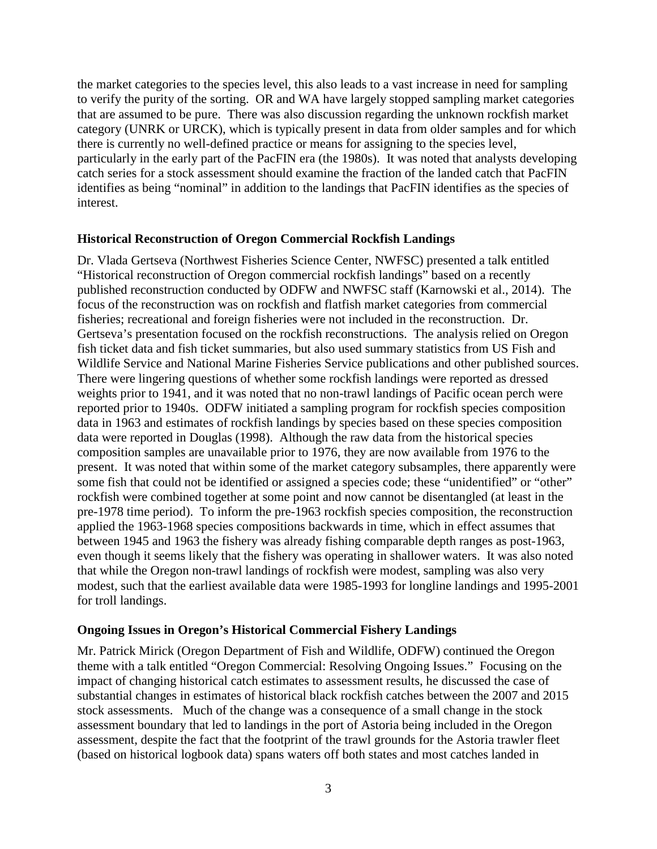the market categories to the species level, this also leads to a vast increase in need for sampling to verify the purity of the sorting. OR and WA have largely stopped sampling market categories that are assumed to be pure. There was also discussion regarding the unknown rockfish market category (UNRK or URCK), which is typically present in data from older samples and for which there is currently no well-defined practice or means for assigning to the species level, particularly in the early part of the PacFIN era (the 1980s). It was noted that analysts developing catch series for a stock assessment should examine the fraction of the landed catch that PacFIN identifies as being "nominal" in addition to the landings that PacFIN identifies as the species of interest.

#### **Historical Reconstruction of Oregon Commercial Rockfish Landings**

Dr. Vlada Gertseva (Northwest Fisheries Science Center, NWFSC) presented a talk entitled "Historical reconstruction of Oregon commercial rockfish landings" based on a recently published reconstruction conducted by ODFW and NWFSC staff (Karnowski et al., 2014). The focus of the reconstruction was on rockfish and flatfish market categories from commercial fisheries; recreational and foreign fisheries were not included in the reconstruction. Dr. Gertseva's presentation focused on the rockfish reconstructions. The analysis relied on Oregon fish ticket data and fish ticket summaries, but also used summary statistics from US Fish and Wildlife Service and National Marine Fisheries Service publications and other published sources. There were lingering questions of whether some rockfish landings were reported as dressed weights prior to 1941, and it was noted that no non-trawl landings of Pacific ocean perch were reported prior to 1940s. ODFW initiated a sampling program for rockfish species composition data in 1963 and estimates of rockfish landings by species based on these species composition data were reported in Douglas (1998). Although the raw data from the historical species composition samples are unavailable prior to 1976, they are now available from 1976 to the present. It was noted that within some of the market category subsamples, there apparently were some fish that could not be identified or assigned a species code; these "unidentified" or "other" rockfish were combined together at some point and now cannot be disentangled (at least in the pre-1978 time period). To inform the pre-1963 rockfish species composition, the reconstruction applied the 1963-1968 species compositions backwards in time, which in effect assumes that between 1945 and 1963 the fishery was already fishing comparable depth ranges as post-1963, even though it seems likely that the fishery was operating in shallower waters. It was also noted that while the Oregon non-trawl landings of rockfish were modest, sampling was also very modest, such that the earliest available data were 1985-1993 for longline landings and 1995-2001 for troll landings.

#### **Ongoing Issues in Oregon's Historical Commercial Fishery Landings**

Mr. Patrick Mirick (Oregon Department of Fish and Wildlife, ODFW) continued the Oregon theme with a talk entitled "Oregon Commercial: Resolving Ongoing Issues." Focusing on the impact of changing historical catch estimates to assessment results, he discussed the case of substantial changes in estimates of historical black rockfish catches between the 2007 and 2015 stock assessments. Much of the change was a consequence of a small change in the stock assessment boundary that led to landings in the port of Astoria being included in the Oregon assessment, despite the fact that the footprint of the trawl grounds for the Astoria trawler fleet (based on historical logbook data) spans waters off both states and most catches landed in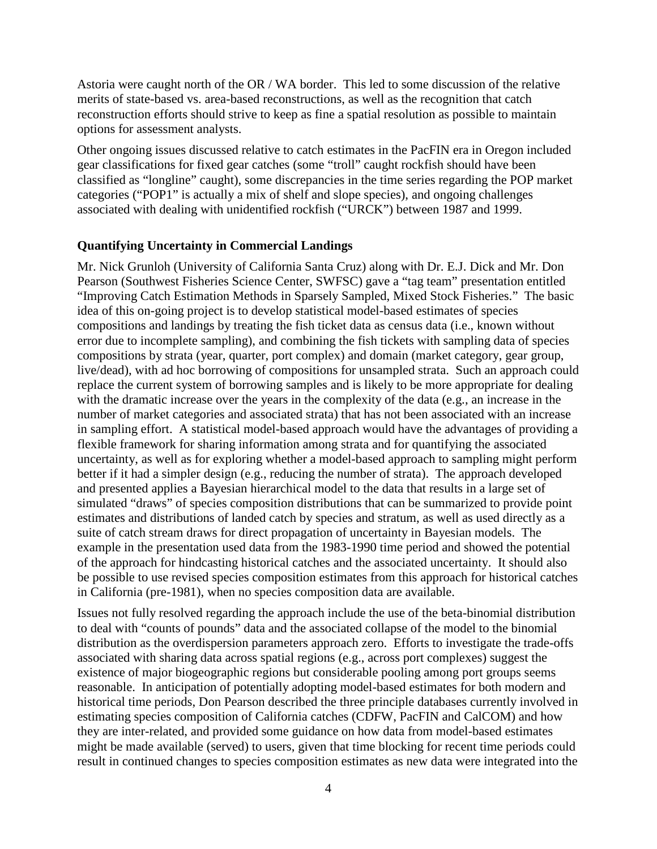Astoria were caught north of the OR / WA border. This led to some discussion of the relative merits of state-based vs. area-based reconstructions, as well as the recognition that catch reconstruction efforts should strive to keep as fine a spatial resolution as possible to maintain options for assessment analysts.

Other ongoing issues discussed relative to catch estimates in the PacFIN era in Oregon included gear classifications for fixed gear catches (some "troll" caught rockfish should have been classified as "longline" caught), some discrepancies in the time series regarding the POP market categories ("POP1" is actually a mix of shelf and slope species), and ongoing challenges associated with dealing with unidentified rockfish ("URCK") between 1987 and 1999.

#### **Quantifying Uncertainty in Commercial Landings**

Mr. Nick Grunloh (University of California Santa Cruz) along with Dr. E.J. Dick and Mr. Don Pearson (Southwest Fisheries Science Center, SWFSC) gave a "tag team" presentation entitled "Improving Catch Estimation Methods in Sparsely Sampled, Mixed Stock Fisheries." The basic idea of this on-going project is to develop statistical model-based estimates of species compositions and landings by treating the fish ticket data as census data (i.e., known without error due to incomplete sampling), and combining the fish tickets with sampling data of species compositions by strata (year, quarter, port complex) and domain (market category, gear group, live/dead), with ad hoc borrowing of compositions for unsampled strata. Such an approach could replace the current system of borrowing samples and is likely to be more appropriate for dealing with the dramatic increase over the years in the complexity of the data (e.g., an increase in the number of market categories and associated strata) that has not been associated with an increase in sampling effort. A statistical model-based approach would have the advantages of providing a flexible framework for sharing information among strata and for quantifying the associated uncertainty, as well as for exploring whether a model-based approach to sampling might perform better if it had a simpler design (e.g., reducing the number of strata). The approach developed and presented applies a Bayesian hierarchical model to the data that results in a large set of simulated "draws" of species composition distributions that can be summarized to provide point estimates and distributions of landed catch by species and stratum, as well as used directly as a suite of catch stream draws for direct propagation of uncertainty in Bayesian models. The example in the presentation used data from the 1983-1990 time period and showed the potential of the approach for hindcasting historical catches and the associated uncertainty. It should also be possible to use revised species composition estimates from this approach for historical catches in California (pre-1981), when no species composition data are available.

Issues not fully resolved regarding the approach include the use of the beta-binomial distribution to deal with "counts of pounds" data and the associated collapse of the model to the binomial distribution as the overdispersion parameters approach zero. Efforts to investigate the trade-offs associated with sharing data across spatial regions (e.g., across port complexes) suggest the existence of major biogeographic regions but considerable pooling among port groups seems reasonable. In anticipation of potentially adopting model-based estimates for both modern and historical time periods, Don Pearson described the three principle databases currently involved in estimating species composition of California catches (CDFW, PacFIN and CalCOM) and how they are inter-related, and provided some guidance on how data from model-based estimates might be made available (served) to users, given that time blocking for recent time periods could result in continued changes to species composition estimates as new data were integrated into the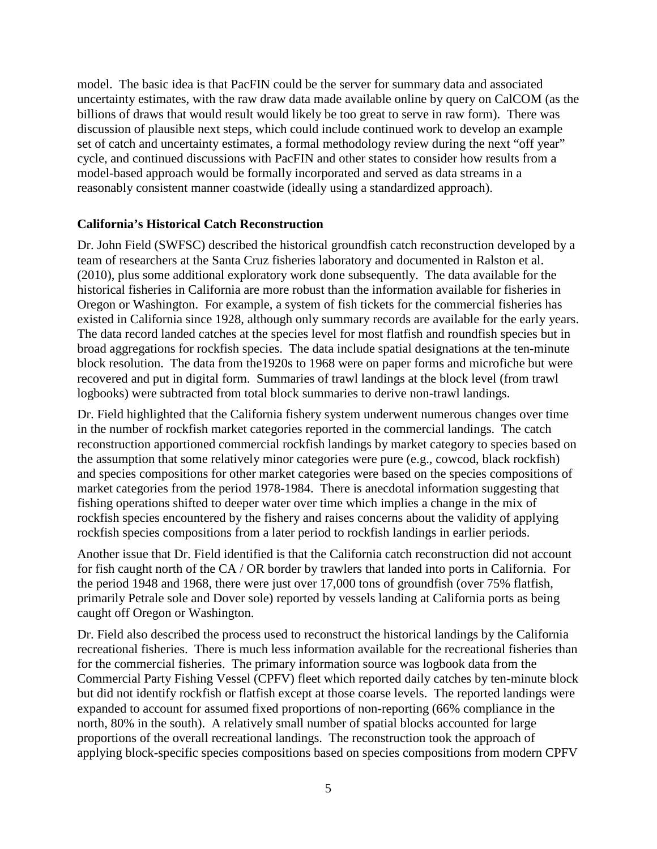model. The basic idea is that PacFIN could be the server for summary data and associated uncertainty estimates, with the raw draw data made available online by query on CalCOM (as the billions of draws that would result would likely be too great to serve in raw form). There was discussion of plausible next steps, which could include continued work to develop an example set of catch and uncertainty estimates, a formal methodology review during the next "off year" cycle, and continued discussions with PacFIN and other states to consider how results from a model-based approach would be formally incorporated and served as data streams in a reasonably consistent manner coastwide (ideally using a standardized approach).

## **California's Historical Catch Reconstruction**

Dr. John Field (SWFSC) described the historical groundfish catch reconstruction developed by a team of researchers at the Santa Cruz fisheries laboratory and documented in Ralston et al. (2010), plus some additional exploratory work done subsequently. The data available for the historical fisheries in California are more robust than the information available for fisheries in Oregon or Washington. For example, a system of fish tickets for the commercial fisheries has existed in California since 1928, although only summary records are available for the early years. The data record landed catches at the species level for most flatfish and roundfish species but in broad aggregations for rockfish species. The data include spatial designations at the ten-minute block resolution. The data from the1920s to 1968 were on paper forms and microfiche but were recovered and put in digital form. Summaries of trawl landings at the block level (from trawl logbooks) were subtracted from total block summaries to derive non-trawl landings.

Dr. Field highlighted that the California fishery system underwent numerous changes over time in the number of rockfish market categories reported in the commercial landings. The catch reconstruction apportioned commercial rockfish landings by market category to species based on the assumption that some relatively minor categories were pure (e.g., cowcod, black rockfish) and species compositions for other market categories were based on the species compositions of market categories from the period 1978-1984. There is anecdotal information suggesting that fishing operations shifted to deeper water over time which implies a change in the mix of rockfish species encountered by the fishery and raises concerns about the validity of applying rockfish species compositions from a later period to rockfish landings in earlier periods.

Another issue that Dr. Field identified is that the California catch reconstruction did not account for fish caught north of the CA / OR border by trawlers that landed into ports in California. For the period 1948 and 1968, there were just over 17,000 tons of groundfish (over 75% flatfish, primarily Petrale sole and Dover sole) reported by vessels landing at California ports as being caught off Oregon or Washington.

Dr. Field also described the process used to reconstruct the historical landings by the California recreational fisheries. There is much less information available for the recreational fisheries than for the commercial fisheries. The primary information source was logbook data from the Commercial Party Fishing Vessel (CPFV) fleet which reported daily catches by ten-minute block but did not identify rockfish or flatfish except at those coarse levels. The reported landings were expanded to account for assumed fixed proportions of non-reporting (66% compliance in the north, 80% in the south). A relatively small number of spatial blocks accounted for large proportions of the overall recreational landings. The reconstruction took the approach of applying block-specific species compositions based on species compositions from modern CPFV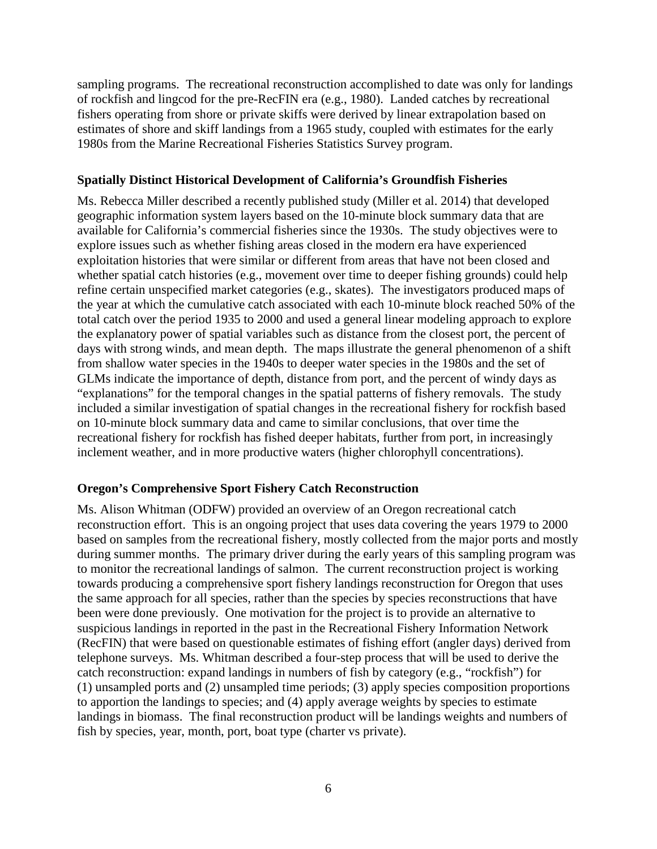sampling programs. The recreational reconstruction accomplished to date was only for landings of rockfish and lingcod for the pre-RecFIN era (e.g., 1980). Landed catches by recreational fishers operating from shore or private skiffs were derived by linear extrapolation based on estimates of shore and skiff landings from a 1965 study, coupled with estimates for the early 1980s from the Marine Recreational Fisheries Statistics Survey program.

## **Spatially Distinct Historical Development of California's Groundfish Fisheries**

Ms. Rebecca Miller described a recently published study (Miller et al. 2014) that developed geographic information system layers based on the 10-minute block summary data that are available for California's commercial fisheries since the 1930s. The study objectives were to explore issues such as whether fishing areas closed in the modern era have experienced exploitation histories that were similar or different from areas that have not been closed and whether spatial catch histories (e.g., movement over time to deeper fishing grounds) could help refine certain unspecified market categories (e.g., skates). The investigators produced maps of the year at which the cumulative catch associated with each 10-minute block reached 50% of the total catch over the period 1935 to 2000 and used a general linear modeling approach to explore the explanatory power of spatial variables such as distance from the closest port, the percent of days with strong winds, and mean depth. The maps illustrate the general phenomenon of a shift from shallow water species in the 1940s to deeper water species in the 1980s and the set of GLMs indicate the importance of depth, distance from port, and the percent of windy days as "explanations" for the temporal changes in the spatial patterns of fishery removals. The study included a similar investigation of spatial changes in the recreational fishery for rockfish based on 10-minute block summary data and came to similar conclusions, that over time the recreational fishery for rockfish has fished deeper habitats, further from port, in increasingly inclement weather, and in more productive waters (higher chlorophyll concentrations).

#### **Oregon's Comprehensive Sport Fishery Catch Reconstruction**

Ms. Alison Whitman (ODFW) provided an overview of an Oregon recreational catch reconstruction effort. This is an ongoing project that uses data covering the years 1979 to 2000 based on samples from the recreational fishery, mostly collected from the major ports and mostly during summer months. The primary driver during the early years of this sampling program was to monitor the recreational landings of salmon. The current reconstruction project is working towards producing a comprehensive sport fishery landings reconstruction for Oregon that uses the same approach for all species, rather than the species by species reconstructions that have been were done previously. One motivation for the project is to provide an alternative to suspicious landings in reported in the past in the Recreational Fishery Information Network (RecFIN) that were based on questionable estimates of fishing effort (angler days) derived from telephone surveys. Ms. Whitman described a four-step process that will be used to derive the catch reconstruction: expand landings in numbers of fish by category (e.g., "rockfish") for (1) unsampled ports and (2) unsampled time periods; (3) apply species composition proportions to apportion the landings to species; and (4) apply average weights by species to estimate landings in biomass. The final reconstruction product will be landings weights and numbers of fish by species, year, month, port, boat type (charter vs private).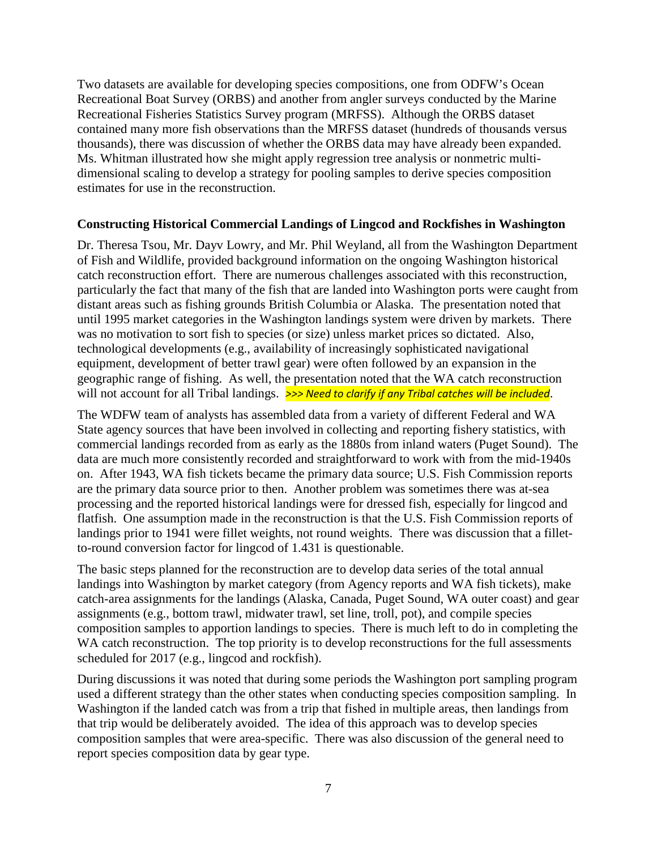Two datasets are available for developing species compositions, one from ODFW's Ocean Recreational Boat Survey (ORBS) and another from angler surveys conducted by the Marine Recreational Fisheries Statistics Survey program (MRFSS). Although the ORBS dataset contained many more fish observations than the MRFSS dataset (hundreds of thousands versus thousands), there was discussion of whether the ORBS data may have already been expanded. Ms. Whitman illustrated how she might apply regression tree analysis or nonmetric multidimensional scaling to develop a strategy for pooling samples to derive species composition estimates for use in the reconstruction.

#### **Constructing Historical Commercial Landings of Lingcod and Rockfishes in Washington**

Dr. Theresa Tsou, Mr. Dayv Lowry, and Mr. Phil Weyland, all from the Washington Department of Fish and Wildlife, provided background information on the ongoing Washington historical catch reconstruction effort. There are numerous challenges associated with this reconstruction, particularly the fact that many of the fish that are landed into Washington ports were caught from distant areas such as fishing grounds British Columbia or Alaska. The presentation noted that until 1995 market categories in the Washington landings system were driven by markets. There was no motivation to sort fish to species (or size) unless market prices so dictated. Also, technological developments (e.g., availability of increasingly sophisticated navigational equipment, development of better trawl gear) were often followed by an expansion in the geographic range of fishing. As well, the presentation noted that the WA catch reconstruction will not account for all Tribal landings. **>>> Need to clarify if any Tribal catches will be included**.

The WDFW team of analysts has assembled data from a variety of different Federal and WA State agency sources that have been involved in collecting and reporting fishery statistics, with commercial landings recorded from as early as the 1880s from inland waters (Puget Sound). The data are much more consistently recorded and straightforward to work with from the mid-1940s on. After 1943, WA fish tickets became the primary data source; U.S. Fish Commission reports are the primary data source prior to then. Another problem was sometimes there was at-sea processing and the reported historical landings were for dressed fish, especially for lingcod and flatfish. One assumption made in the reconstruction is that the U.S. Fish Commission reports of landings prior to 1941 were fillet weights, not round weights. There was discussion that a filletto-round conversion factor for lingcod of 1.431 is questionable.

The basic steps planned for the reconstruction are to develop data series of the total annual landings into Washington by market category (from Agency reports and WA fish tickets), make catch-area assignments for the landings (Alaska, Canada, Puget Sound, WA outer coast) and gear assignments (e.g., bottom trawl, midwater trawl, set line, troll, pot), and compile species composition samples to apportion landings to species. There is much left to do in completing the WA catch reconstruction. The top priority is to develop reconstructions for the full assessments scheduled for 2017 (e.g., lingcod and rockfish).

During discussions it was noted that during some periods the Washington port sampling program used a different strategy than the other states when conducting species composition sampling. In Washington if the landed catch was from a trip that fished in multiple areas, then landings from that trip would be deliberately avoided. The idea of this approach was to develop species composition samples that were area-specific. There was also discussion of the general need to report species composition data by gear type.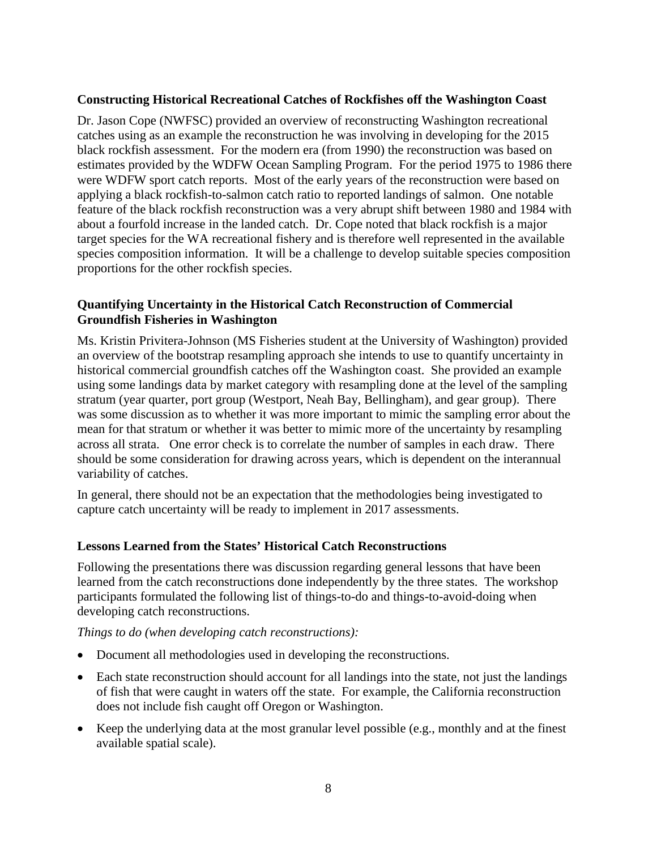## **Constructing Historical Recreational Catches of Rockfishes off the Washington Coast**

Dr. Jason Cope (NWFSC) provided an overview of reconstructing Washington recreational catches using as an example the reconstruction he was involving in developing for the 2015 black rockfish assessment. For the modern era (from 1990) the reconstruction was based on estimates provided by the WDFW Ocean Sampling Program. For the period 1975 to 1986 there were WDFW sport catch reports. Most of the early years of the reconstruction were based on applying a black rockfish-to-salmon catch ratio to reported landings of salmon. One notable feature of the black rockfish reconstruction was a very abrupt shift between 1980 and 1984 with about a fourfold increase in the landed catch. Dr. Cope noted that black rockfish is a major target species for the WA recreational fishery and is therefore well represented in the available species composition information. It will be a challenge to develop suitable species composition proportions for the other rockfish species.

## **Quantifying Uncertainty in the Historical Catch Reconstruction of Commercial Groundfish Fisheries in Washington**

Ms. Kristin Privitera-Johnson (MS Fisheries student at the University of Washington) provided an overview of the bootstrap resampling approach she intends to use to quantify uncertainty in historical commercial groundfish catches off the Washington coast. She provided an example using some landings data by market category with resampling done at the level of the sampling stratum (year quarter, port group (Westport, Neah Bay, Bellingham), and gear group). There was some discussion as to whether it was more important to mimic the sampling error about the mean for that stratum or whether it was better to mimic more of the uncertainty by resampling across all strata. One error check is to correlate the number of samples in each draw. There should be some consideration for drawing across years, which is dependent on the interannual variability of catches.

In general, there should not be an expectation that the methodologies being investigated to capture catch uncertainty will be ready to implement in 2017 assessments.

# **Lessons Learned from the States' Historical Catch Reconstructions**

Following the presentations there was discussion regarding general lessons that have been learned from the catch reconstructions done independently by the three states. The workshop participants formulated the following list of things-to-do and things-to-avoid-doing when developing catch reconstructions.

#### *Things to do (when developing catch reconstructions):*

- Document all methodologies used in developing the reconstructions.
- Each state reconstruction should account for all landings into the state, not just the landings of fish that were caught in waters off the state. For example, the California reconstruction does not include fish caught off Oregon or Washington.
- Keep the underlying data at the most granular level possible (e.g., monthly and at the finest available spatial scale).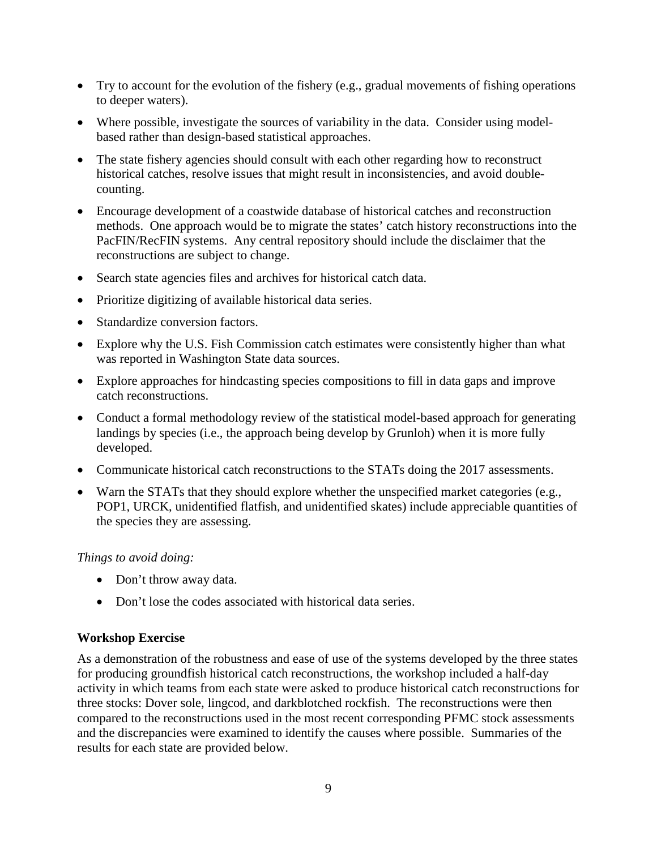- Try to account for the evolution of the fishery (e.g., gradual movements of fishing operations to deeper waters).
- Where possible, investigate the sources of variability in the data. Consider using modelbased rather than design-based statistical approaches.
- The state fishery agencies should consult with each other regarding how to reconstruct historical catches, resolve issues that might result in inconsistencies, and avoid doublecounting.
- Encourage development of a coastwide database of historical catches and reconstruction methods. One approach would be to migrate the states' catch history reconstructions into the PacFIN/RecFIN systems. Any central repository should include the disclaimer that the reconstructions are subject to change.
- Search state agencies files and archives for historical catch data.
- Prioritize digitizing of available historical data series.
- Standardize conversion factors.
- Explore why the U.S. Fish Commission catch estimates were consistently higher than what was reported in Washington State data sources.
- Explore approaches for hindcasting species compositions to fill in data gaps and improve catch reconstructions.
- Conduct a formal methodology review of the statistical model-based approach for generating landings by species (i.e., the approach being develop by Grunloh) when it is more fully developed.
- Communicate historical catch reconstructions to the STATs doing the 2017 assessments.
- Warn the STATs that they should explore whether the unspecified market categories (e.g., POP1, URCK, unidentified flatfish, and unidentified skates) include appreciable quantities of the species they are assessing.

#### *Things to avoid doing:*

- Don't throw away data.
- Don't lose the codes associated with historical data series.

#### **Workshop Exercise**

As a demonstration of the robustness and ease of use of the systems developed by the three states for producing groundfish historical catch reconstructions, the workshop included a half-day activity in which teams from each state were asked to produce historical catch reconstructions for three stocks: Dover sole, lingcod, and darkblotched rockfish. The reconstructions were then compared to the reconstructions used in the most recent corresponding PFMC stock assessments and the discrepancies were examined to identify the causes where possible. Summaries of the results for each state are provided below.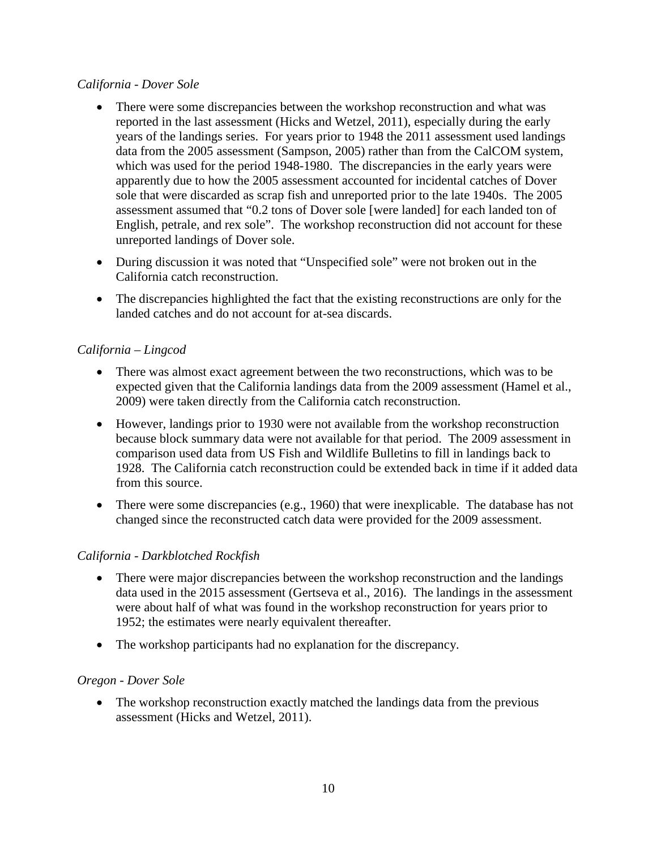## *California - Dover Sole*

- There were some discrepancies between the workshop reconstruction and what was reported in the last assessment (Hicks and Wetzel, 2011), especially during the early years of the landings series. For years prior to 1948 the 2011 assessment used landings data from the 2005 assessment (Sampson, 2005) rather than from the CalCOM system, which was used for the period 1948-1980. The discrepancies in the early years were apparently due to how the 2005 assessment accounted for incidental catches of Dover sole that were discarded as scrap fish and unreported prior to the late 1940s. The 2005 assessment assumed that "0.2 tons of Dover sole [were landed] for each landed ton of English, petrale, and rex sole". The workshop reconstruction did not account for these unreported landings of Dover sole.
- During discussion it was noted that "Unspecified sole" were not broken out in the California catch reconstruction.
- The discrepancies highlighted the fact that the existing reconstructions are only for the landed catches and do not account for at-sea discards.

# *California – Lingcod*

- There was almost exact agreement between the two reconstructions, which was to be expected given that the California landings data from the 2009 assessment (Hamel et al., 2009) were taken directly from the California catch reconstruction.
- However, landings prior to 1930 were not available from the workshop reconstruction because block summary data were not available for that period. The 2009 assessment in comparison used data from US Fish and Wildlife Bulletins to fill in landings back to 1928. The California catch reconstruction could be extended back in time if it added data from this source.
- There were some discrepancies (e.g., 1960) that were inexplicable. The database has not changed since the reconstructed catch data were provided for the 2009 assessment.

# *California - Darkblotched Rockfish*

- There were major discrepancies between the workshop reconstruction and the landings data used in the 2015 assessment (Gertseva et al., 2016). The landings in the assessment were about half of what was found in the workshop reconstruction for years prior to 1952; the estimates were nearly equivalent thereafter.
- The workshop participants had no explanation for the discrepancy.

# *Oregon - Dover Sole*

• The workshop reconstruction exactly matched the landings data from the previous assessment (Hicks and Wetzel, 2011).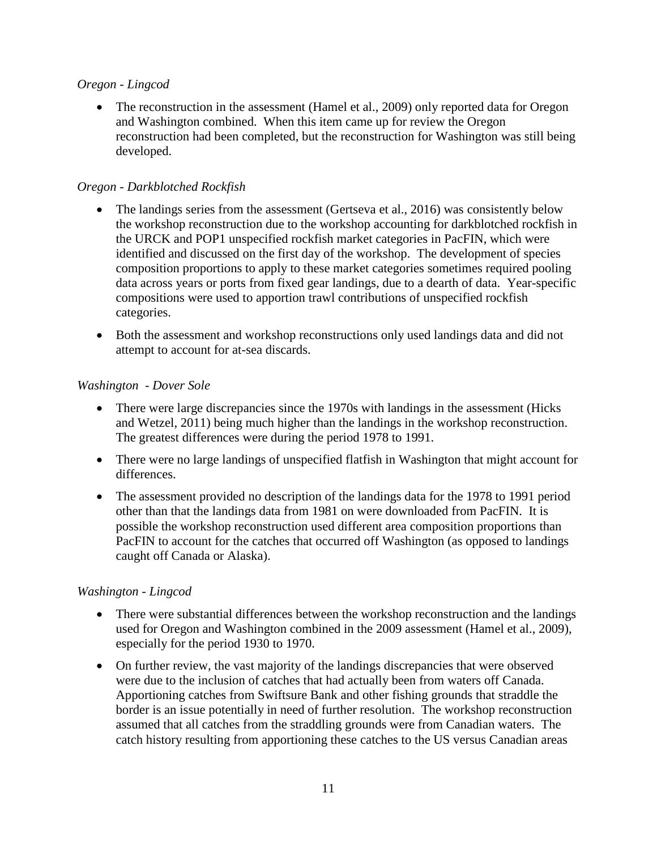### *Oregon - Lingcod*

• The reconstruction in the assessment (Hamel et al., 2009) only reported data for Oregon and Washington combined. When this item came up for review the Oregon reconstruction had been completed, but the reconstruction for Washington was still being developed.

# *Oregon - Darkblotched Rockfish*

- The landings series from the assessment (Gertseva et al., 2016) was consistently below the workshop reconstruction due to the workshop accounting for darkblotched rockfish in the URCK and POP1 unspecified rockfish market categories in PacFIN, which were identified and discussed on the first day of the workshop. The development of species composition proportions to apply to these market categories sometimes required pooling data across years or ports from fixed gear landings, due to a dearth of data. Year-specific compositions were used to apportion trawl contributions of unspecified rockfish categories.
- Both the assessment and workshop reconstructions only used landings data and did not attempt to account for at-sea discards.

# *Washington - Dover Sole*

- There were large discrepancies since the 1970s with landings in the assessment (Hicks) and Wetzel, 2011) being much higher than the landings in the workshop reconstruction. The greatest differences were during the period 1978 to 1991.
- There were no large landings of unspecified flatfish in Washington that might account for differences.
- The assessment provided no description of the landings data for the 1978 to 1991 period other than that the landings data from 1981 on were downloaded from PacFIN. It is possible the workshop reconstruction used different area composition proportions than PacFIN to account for the catches that occurred off Washington (as opposed to landings caught off Canada or Alaska).

# *Washington - Lingcod*

- There were substantial differences between the workshop reconstruction and the landings used for Oregon and Washington combined in the 2009 assessment (Hamel et al., 2009), especially for the period 1930 to 1970.
- On further review, the vast majority of the landings discrepancies that were observed were due to the inclusion of catches that had actually been from waters off Canada. Apportioning catches from Swiftsure Bank and other fishing grounds that straddle the border is an issue potentially in need of further resolution. The workshop reconstruction assumed that all catches from the straddling grounds were from Canadian waters. The catch history resulting from apportioning these catches to the US versus Canadian areas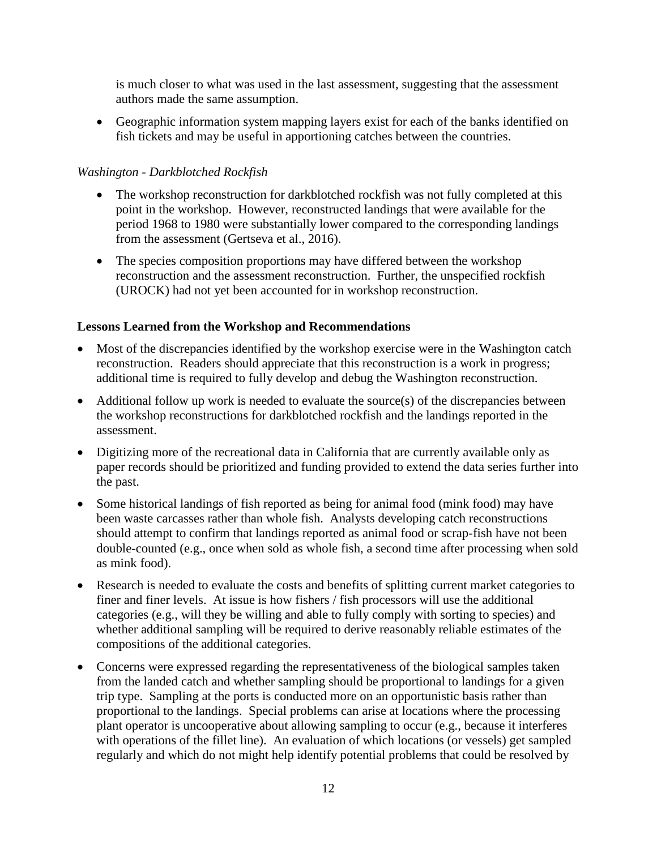is much closer to what was used in the last assessment, suggesting that the assessment authors made the same assumption.

• Geographic information system mapping layers exist for each of the banks identified on fish tickets and may be useful in apportioning catches between the countries.

# *Washington - Darkblotched Rockfish*

- The workshop reconstruction for darkblotched rockfish was not fully completed at this point in the workshop. However, reconstructed landings that were available for the period 1968 to 1980 were substantially lower compared to the corresponding landings from the assessment (Gertseva et al., 2016).
- The species composition proportions may have differed between the workshop reconstruction and the assessment reconstruction. Further, the unspecified rockfish (UROCK) had not yet been accounted for in workshop reconstruction.

# **Lessons Learned from the Workshop and Recommendations**

- Most of the discrepancies identified by the workshop exercise were in the Washington catch reconstruction. Readers should appreciate that this reconstruction is a work in progress; additional time is required to fully develop and debug the Washington reconstruction.
- Additional follow up work is needed to evaluate the source(s) of the discrepancies between the workshop reconstructions for darkblotched rockfish and the landings reported in the assessment.
- Digitizing more of the recreational data in California that are currently available only as paper records should be prioritized and funding provided to extend the data series further into the past.
- Some historical landings of fish reported as being for animal food (mink food) may have been waste carcasses rather than whole fish. Analysts developing catch reconstructions should attempt to confirm that landings reported as animal food or scrap-fish have not been double-counted (e.g., once when sold as whole fish, a second time after processing when sold as mink food).
- Research is needed to evaluate the costs and benefits of splitting current market categories to finer and finer levels. At issue is how fishers / fish processors will use the additional categories (e.g., will they be willing and able to fully comply with sorting to species) and whether additional sampling will be required to derive reasonably reliable estimates of the compositions of the additional categories.
- Concerns were expressed regarding the representativeness of the biological samples taken from the landed catch and whether sampling should be proportional to landings for a given trip type. Sampling at the ports is conducted more on an opportunistic basis rather than proportional to the landings. Special problems can arise at locations where the processing plant operator is uncooperative about allowing sampling to occur (e.g., because it interferes with operations of the fillet line). An evaluation of which locations (or vessels) get sampled regularly and which do not might help identify potential problems that could be resolved by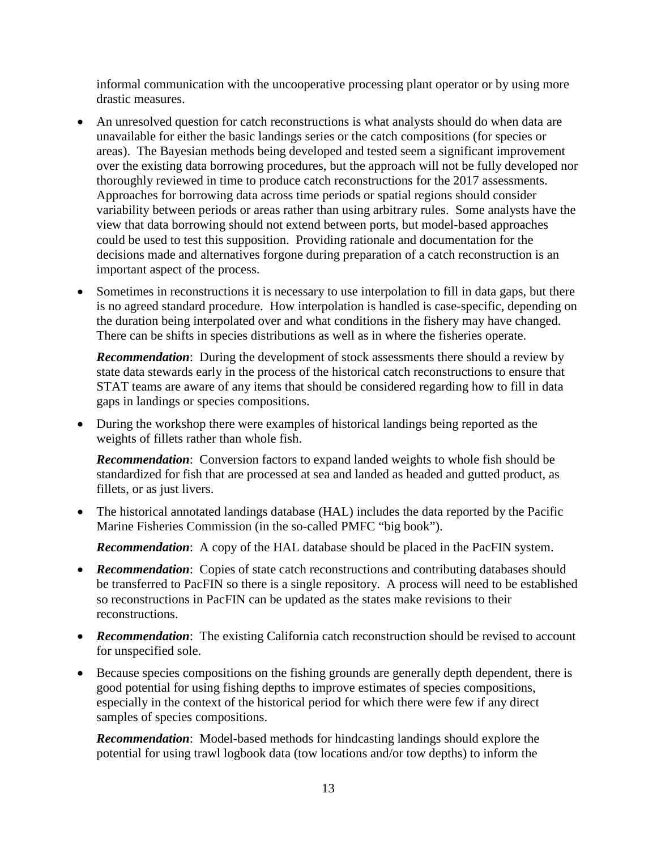informal communication with the uncooperative processing plant operator or by using more drastic measures.

- An unresolved question for catch reconstructions is what analysts should do when data are unavailable for either the basic landings series or the catch compositions (for species or areas). The Bayesian methods being developed and tested seem a significant improvement over the existing data borrowing procedures, but the approach will not be fully developed nor thoroughly reviewed in time to produce catch reconstructions for the 2017 assessments. Approaches for borrowing data across time periods or spatial regions should consider variability between periods or areas rather than using arbitrary rules. Some analysts have the view that data borrowing should not extend between ports, but model-based approaches could be used to test this supposition. Providing rationale and documentation for the decisions made and alternatives forgone during preparation of a catch reconstruction is an important aspect of the process.
- Sometimes in reconstructions it is necessary to use interpolation to fill in data gaps, but there is no agreed standard procedure. How interpolation is handled is case-specific, depending on the duration being interpolated over and what conditions in the fishery may have changed. There can be shifts in species distributions as well as in where the fisheries operate.

**Recommendation:** During the development of stock assessments there should a review by state data stewards early in the process of the historical catch reconstructions to ensure that STAT teams are aware of any items that should be considered regarding how to fill in data gaps in landings or species compositions.

• During the workshop there were examples of historical landings being reported as the weights of fillets rather than whole fish.

*Recommendation*: Conversion factors to expand landed weights to whole fish should be standardized for fish that are processed at sea and landed as headed and gutted product, as fillets, or as just livers.

• The historical annotated landings database (HAL) includes the data reported by the Pacific Marine Fisheries Commission (in the so-called PMFC "big book").

*Recommendation*: A copy of the HAL database should be placed in the PacFIN system.

- **Recommendation**: Copies of state catch reconstructions and contributing databases should be transferred to PacFIN so there is a single repository. A process will need to be established so reconstructions in PacFIN can be updated as the states make revisions to their reconstructions.
- **Recommendation**: The existing California catch reconstruction should be revised to account for unspecified sole.
- Because species compositions on the fishing grounds are generally depth dependent, there is good potential for using fishing depths to improve estimates of species compositions, especially in the context of the historical period for which there were few if any direct samples of species compositions.

*Recommendation*: Model-based methods for hindcasting landings should explore the potential for using trawl logbook data (tow locations and/or tow depths) to inform the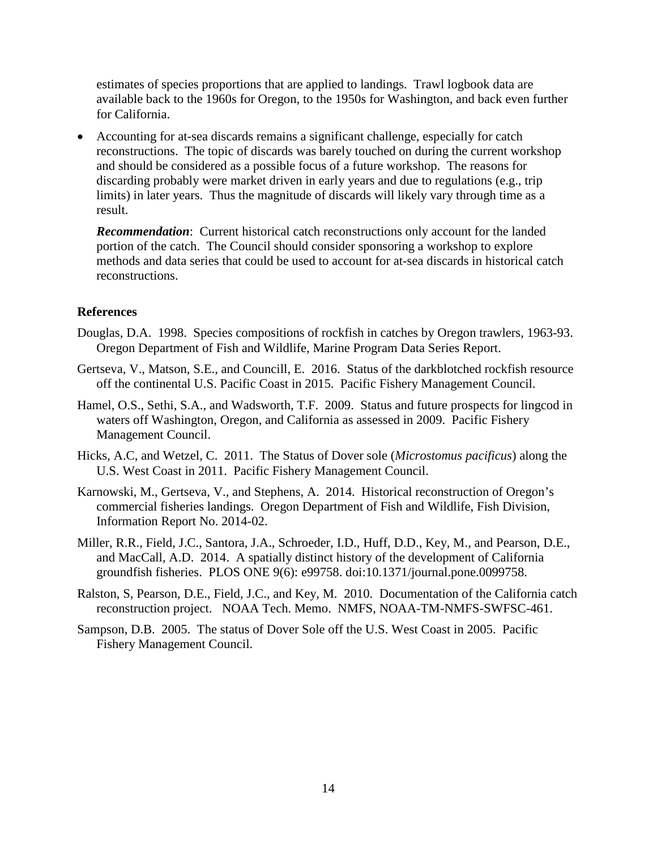estimates of species proportions that are applied to landings. Trawl logbook data are available back to the 1960s for Oregon, to the 1950s for Washington, and back even further for California.

• Accounting for at-sea discards remains a significant challenge, especially for catch reconstructions. The topic of discards was barely touched on during the current workshop and should be considered as a possible focus of a future workshop. The reasons for discarding probably were market driven in early years and due to regulations (e.g., trip limits) in later years. Thus the magnitude of discards will likely vary through time as a result.

*Recommendation*: Current historical catch reconstructions only account for the landed portion of the catch. The Council should consider sponsoring a workshop to explore methods and data series that could be used to account for at-sea discards in historical catch reconstructions.

## **References**

- Douglas, D.A. 1998. Species compositions of rockfish in catches by Oregon trawlers, 1963-93. Oregon Department of Fish and Wildlife, Marine Program Data Series Report.
- Gertseva, V., Matson, S.E., and Councill, E. 2016. Status of the darkblotched rockfish resource off the continental U.S. Pacific Coast in 2015. Pacific Fishery Management Council.
- Hamel, O.S., Sethi, S.A., and Wadsworth, T.F. 2009. Status and future prospects for lingcod in waters off Washington, Oregon, and California as assessed in 2009. Pacific Fishery Management Council.
- Hicks, A.C, and Wetzel, C. 2011. The Status of Dover sole (*Microstomus pacificus*) along the U.S. West Coast in 2011. Pacific Fishery Management Council.
- Karnowski, M., Gertseva, V., and Stephens, A. 2014. Historical reconstruction of Oregon's commercial fisheries landings. Oregon Department of Fish and Wildlife, Fish Division, Information Report No. 2014-02.
- Miller, R.R., Field, J.C., Santora, J.A., Schroeder, I.D., Huff, D.D., Key, M., and Pearson, D.E., and MacCall, A.D. 2014. A spatially distinct history of the development of California groundfish fisheries. PLOS ONE 9(6): e99758. doi:10.1371/journal.pone.0099758.
- Ralston, S, Pearson, D.E., Field, J.C., and Key, M. 2010. Documentation of the California catch reconstruction project. NOAA Tech. Memo. NMFS, NOAA-TM-NMFS-SWFSC-461.
- Sampson, D.B. 2005. The status of Dover Sole off the U.S. West Coast in 2005. Pacific Fishery Management Council.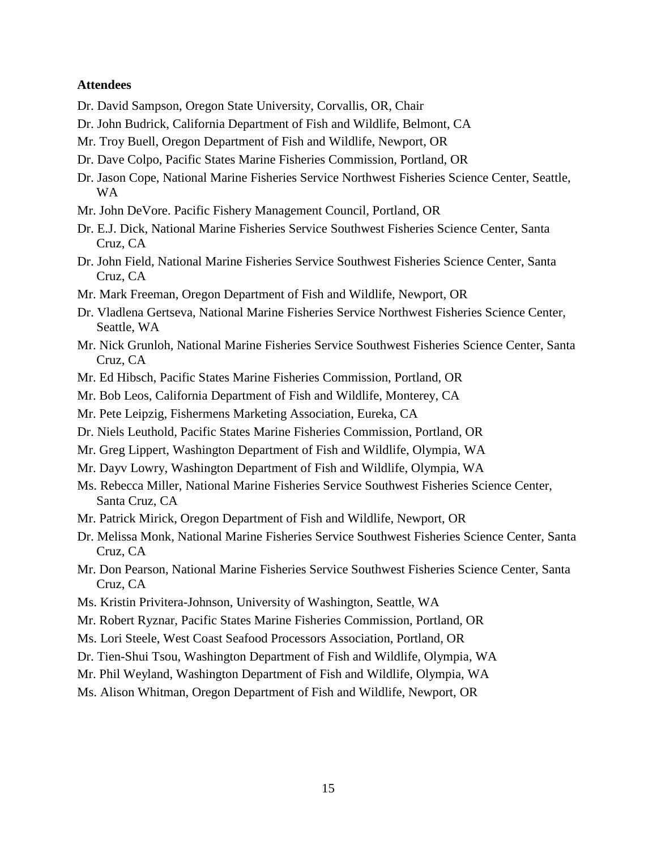#### **Attendees**

- Dr. David Sampson, Oregon State University, Corvallis, OR, Chair
- Dr. John Budrick, California Department of Fish and Wildlife, Belmont, CA
- Mr. Troy Buell, Oregon Department of Fish and Wildlife, Newport, OR
- Dr. Dave Colpo, Pacific States Marine Fisheries Commission, Portland, OR
- Dr. Jason Cope, National Marine Fisheries Service Northwest Fisheries Science Center, Seattle, WA
- Mr. John DeVore. Pacific Fishery Management Council, Portland, OR
- Dr. E.J. Dick, National Marine Fisheries Service Southwest Fisheries Science Center, Santa Cruz, CA
- Dr. John Field, National Marine Fisheries Service Southwest Fisheries Science Center, Santa Cruz, CA
- Mr. Mark Freeman, Oregon Department of Fish and Wildlife, Newport, OR
- Dr. Vladlena Gertseva, National Marine Fisheries Service Northwest Fisheries Science Center, Seattle, WA
- Mr. Nick Grunloh, National Marine Fisheries Service Southwest Fisheries Science Center, Santa Cruz, CA
- Mr. Ed Hibsch, Pacific States Marine Fisheries Commission, Portland, OR
- Mr. Bob Leos, California Department of Fish and Wildlife, Monterey, CA
- Mr. Pete Leipzig, Fishermens Marketing Association, Eureka, CA
- Dr. Niels Leuthold, Pacific States Marine Fisheries Commission, Portland, OR
- Mr. Greg Lippert, Washington Department of Fish and Wildlife, Olympia, WA
- Mr. Dayv Lowry, Washington Department of Fish and Wildlife, Olympia, WA
- Ms. Rebecca Miller, National Marine Fisheries Service Southwest Fisheries Science Center, Santa Cruz, CA
- Mr. Patrick Mirick, Oregon Department of Fish and Wildlife, Newport, OR
- Dr. Melissa Monk, National Marine Fisheries Service Southwest Fisheries Science Center, Santa Cruz, CA
- Mr. Don Pearson, National Marine Fisheries Service Southwest Fisheries Science Center, Santa Cruz, CA
- Ms. Kristin Privitera-Johnson, University of Washington, Seattle, WA
- Mr. Robert Ryznar, Pacific States Marine Fisheries Commission, Portland, OR
- Ms. Lori Steele, West Coast Seafood Processors Association, Portland, OR
- Dr. Tien-Shui Tsou, Washington Department of Fish and Wildlife, Olympia, WA
- Mr. Phil Weyland, Washington Department of Fish and Wildlife, Olympia, WA
- Ms. Alison Whitman, Oregon Department of Fish and Wildlife, Newport, OR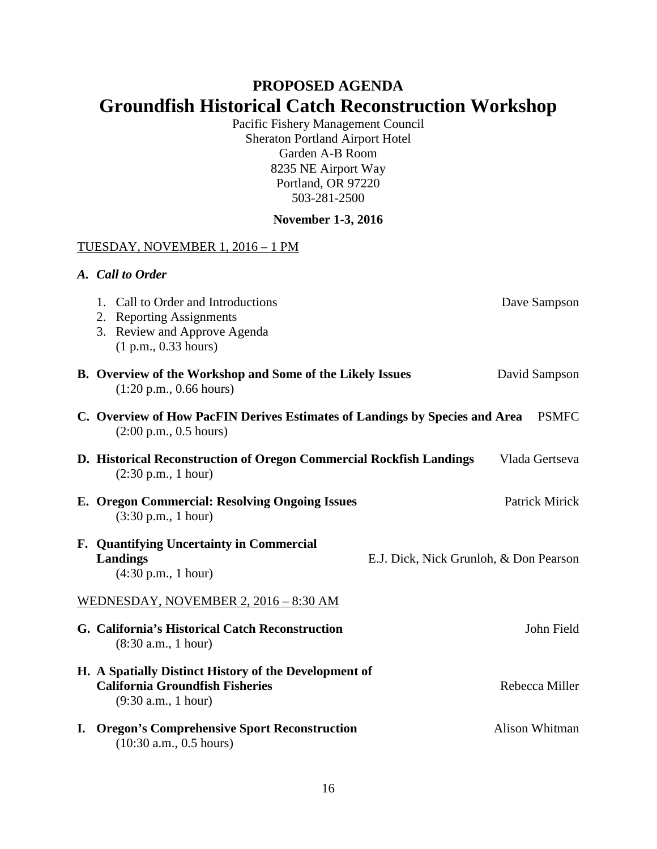# **PROPOSED AGENDA Groundfish Historical Catch Reconstruction Workshop**

Pacific Fishery Management Council Sheraton Portland Airport Hotel Garden A-B Room 8235 NE Airport Way Portland, OR 97220 503-281-2500

# **November 1-3, 2016**

#### TUESDAY, NOVEMBER 1, 2016 – 1 PM

| A. Call to Order                                                                                                                        |                |
|-----------------------------------------------------------------------------------------------------------------------------------------|----------------|
| 1. Call to Order and Introductions<br>2. Reporting Assignments<br>3. Review and Approve Agenda<br>(1 p.m., 0.33 hours)                  | Dave Sampson   |
| B. Overview of the Workshop and Some of the Likely Issues<br>$(1:20 \text{ p.m.}, 0.66 \text{ hours})$                                  | David Sampson  |
| C. Overview of How PacFIN Derives Estimates of Landings by Species and Area<br>$(2:00 \text{ p.m.}, 0.5 \text{ hours})$                 | <b>PSMFC</b>   |
| D. Historical Reconstruction of Oregon Commercial Rockfish Landings<br>$(2:30 \text{ p.m.}, 1 \text{ hour})$                            | Vlada Gertseva |
| E. Oregon Commercial: Resolving Ongoing Issues<br>$(3:30 \text{ p.m.}, 1 \text{ hour})$                                                 | Patrick Mirick |
| F. Quantifying Uncertainty in Commercial<br>Landings<br>E.J. Dick, Nick Grunloh, & Don Pearson<br>$(4:30 \text{ p.m.}, 1 \text{ hour})$ |                |
| WEDNESDAY, NOVEMBER 2, 2016 - 8:30 AM                                                                                                   |                |
| G. California's Historical Catch Reconstruction<br>(8:30 a.m., 1 hour)                                                                  | John Field     |
| H. A Spatially Distinct History of the Development of<br><b>California Groundfish Fisheries</b><br>(9:30 a.m., 1 hour)                  | Rebecca Miller |
| I. Oregon's Comprehensive Sport Reconstruction                                                                                          | Alison Whitman |

(10:30 a.m., 0.5 hours)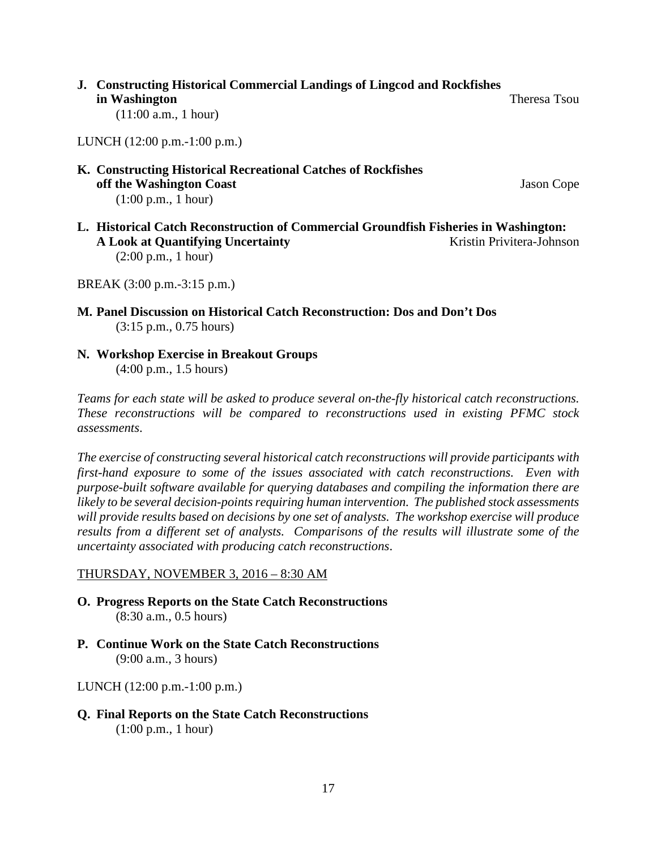**J. Constructing Historical Commercial Landings of Lingcod and Rockfishes in Washington** Theresa Tsou

(11:00 a.m., 1 hour)

LUNCH (12:00 p.m.-1:00 p.m.)

**K. Constructing Historical Recreational Catches of Rockfishes off the Washington Coast** Jason Cope (1:00 p.m., 1 hour)

**L. Historical Catch Reconstruction of Commercial Groundfish Fisheries in Washington: A Look at Quantifying Uncertainty** Kristin Privitera-Johnson (2:00 p.m., 1 hour)

BREAK (3:00 p.m.-3:15 p.m.)

- **M. Panel Discussion on Historical Catch Reconstruction: Dos and Don't Dos** (3:15 p.m., 0.75 hours)
- **N. Workshop Exercise in Breakout Groups** (4:00 p.m., 1.5 hours)

*Teams for each state will be asked to produce several on-the-fly historical catch reconstructions. These reconstructions will be compared to reconstructions used in existing PFMC stock assessments*.

*The exercise of constructing several historical catch reconstructions will provide participants with first-hand exposure to some of the issues associated with catch reconstructions. Even with purpose-built software available for querying databases and compiling the information there are likely to be several decision-points requiring human intervention. The published stock assessments will provide results based on decisions by one set of analysts. The workshop exercise will produce results from a different set of analysts. Comparisons of the results will illustrate some of the uncertainty associated with producing catch reconstructions*.

#### THURSDAY, NOVEMBER 3, 2016 – 8:30 AM

- **O. Progress Reports on the State Catch Reconstructions** (8:30 a.m., 0.5 hours)
- **P. Continue Work on the State Catch Reconstructions** (9:00 a.m., 3 hours)

LUNCH (12:00 p.m.-1:00 p.m.)

**Q. Final Reports on the State Catch Reconstructions** (1:00 p.m., 1 hour)